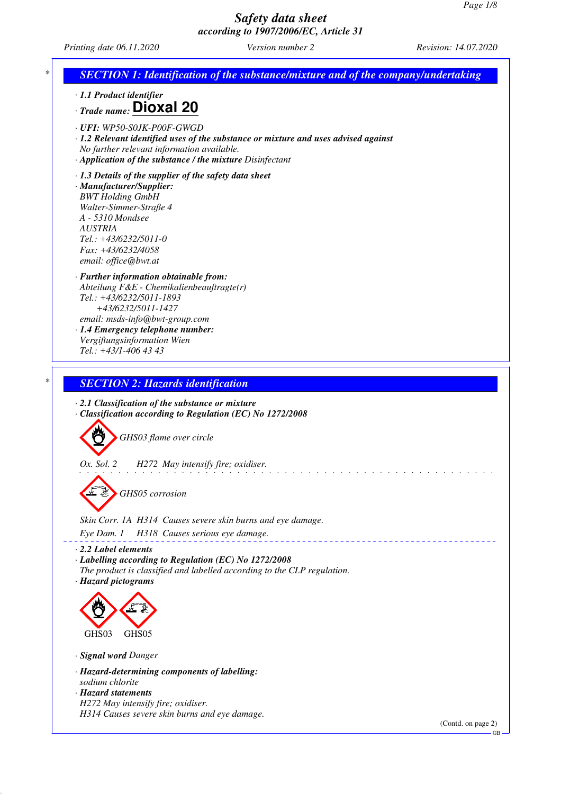*Printing date 06.11.2020 Version number 2 Revision: 14.07.2020*



GB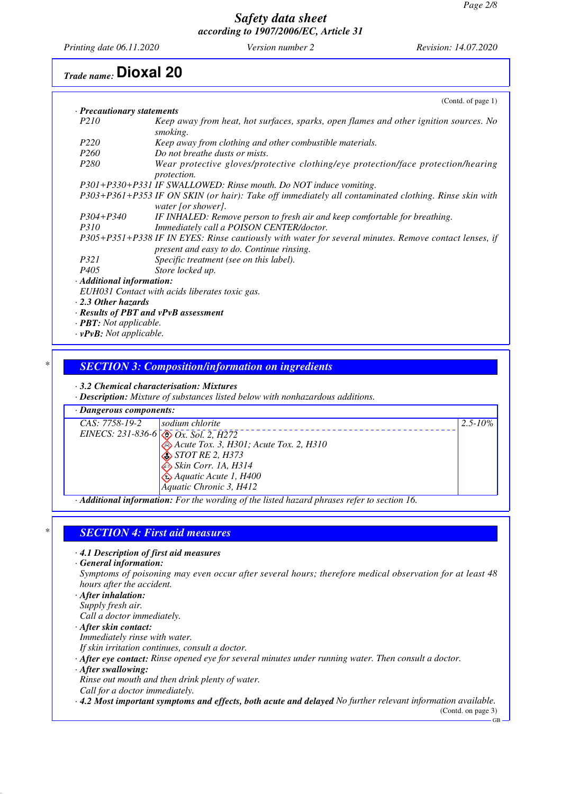*Printing date 06.11.2020 Version number 2 Revision: 14.07.2020*

## *Trade name:* **Dioxal 20**

|                                            | (Cond. of page 1)                                                                                                                                  |
|--------------------------------------------|----------------------------------------------------------------------------------------------------------------------------------------------------|
| · Precautionary statements                 |                                                                                                                                                    |
| <i>P210</i>                                | Keep away from heat, hot surfaces, sparks, open flames and other ignition sources. No<br>smoking.                                                  |
| P <sub>220</sub>                           | Keep away from clothing and other combustible materials.                                                                                           |
| <i>P260</i>                                | Do not breathe dusts or mists.                                                                                                                     |
| P <sub>280</sub>                           | Wear protective gloves/protective clothing/eye protection/face protection/hearing<br><i>protection.</i>                                            |
|                                            | P301+P330+P331 IF SWALLOWED: Rinse mouth. Do NOT induce vomiting.                                                                                  |
|                                            | P303+P361+P353 IF ON SKIN (or hair): Take off immediately all contaminated clothing. Rinse skin with<br>water [or shower].                         |
| P304+P340                                  | IF INHALED: Remove person to fresh air and keep comfortable for breathing.                                                                         |
| <i>P310</i>                                | Immediately call a POISON CENTER/doctor.                                                                                                           |
|                                            | P305+P351+P338 IF IN EYES: Rinse cautiously with water for several minutes. Remove contact lenses, if<br>present and easy to do. Continue rinsing. |
| <i>P321</i>                                | Specific treatment (see on this label).                                                                                                            |
| P <sub>405</sub>                           | Store locked up.                                                                                                                                   |
| · Additional information:                  |                                                                                                                                                    |
|                                            | EUH031 Contact with acids liberates toxic gas.                                                                                                     |
| $\cdot$ 2.3 Other hazards                  |                                                                                                                                                    |
| $\cdot$ Results of PBT and vPvB assessment |                                                                                                                                                    |
| $\cdot$ <b>PBT</b> : Not applicable.       |                                                                                                                                                    |
| $\cdot$ vPvB: Not applicable.              |                                                                                                                                                    |

## *\* SECTION 3: Composition/information on ingredients*

*· 3.2 Chemical characterisation: Mixtures*

*· Description: Mixture of substances listed below with nonhazardous additions.*

## *· Dangerous components:*

| CAS: 7758-19-2 | sodium chlorite                              | $2.5 - 10\%$ |
|----------------|----------------------------------------------|--------------|
|                | EINECS: 231-836-6 $\otimes$ Ox. Sol. 2, H272 |              |
|                | Acute Tox. 3, H301; Acute Tox. 2, H310       |              |
|                | $\diamond$ STOT RE 2, H373                   |              |
|                | Skin Corr. 1A, H314                          |              |
|                | $\bigotimes$ Aquatic Acute 1, H400           |              |
|                | Aquatic Chronic 3, H412                      |              |
|                | - - -<br>$\sim$ $\sim$<br>.                  |              |

*· Additional information: For the wording of the listed hazard phrases refer to section 16.*

## *\* SECTION 4: First aid measures*

*· 4.1 Description of first aid measures*

*· General information:*

*Symptoms of poisoning may even occur after several hours; therefore medical observation for at least 48 hours after the accident.*

*· After inhalation: Supply fresh air.*

*Call a doctor immediately.*

*· After skin contact:*

*Immediately rinse with water.*

- *If skin irritation continues, consult a doctor.*
- *· After eye contact: Rinse opened eye for several minutes under running water. Then consult a doctor.*

*· After swallowing:*

*Rinse out mouth and then drink plenty of water.*

*Call for a doctor immediately.*

*· 4.2 Most important symptoms and effects, both acute and delayed No further relevant information available.*

(Contd. on page 3)  $-$ GB $-$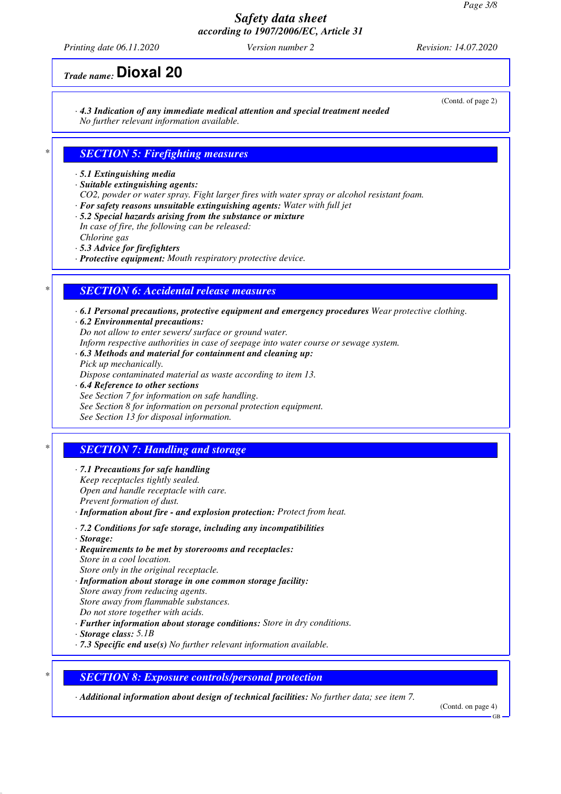*Printing date 06.11.2020 Version number 2 Revision: 14.07.2020*

*Trade name:* **Dioxal 20**

*· 4.3 Indication of any immediate medical attention and special treatment needed No further relevant information available.*

## *\* SECTION 5: Firefighting measures*

*· 5.1 Extinguishing media*

*· Suitable extinguishing agents:*

- *CO2, powder or water spray. Fight larger fires with water spray or alcohol resistant foam.*
- *· For safety reasons unsuitable extinguishing agents: Water with full jet*
- *· 5.2 Special hazards arising from the substance or mixture In case of fire, the following can be released:*

*Chlorine gas*

*· 5.3 Advice for firefighters*

*· Protective equipment: Mouth respiratory protective device.*

#### *\* SECTION 6: Accidental release measures*

*· 6.1 Personal precautions, protective equipment and emergency procedures Wear protective clothing.*

*· 6.2 Environmental precautions: Do not allow to enter sewers/ surface or ground water.*

*Inform respective authorities in case of seepage into water course or sewage system.*

*· 6.3 Methods and material for containment and cleaning up: Pick up mechanically.*

*Dispose contaminated material as waste according to item 13.*

*· 6.4 Reference to other sections See Section 7 for information on safe handling. See Section 8 for information on personal protection equipment. See Section 13 for disposal information.*

## *\* SECTION 7: Handling and storage*

- *· 7.1 Precautions for safe handling Keep receptacles tightly sealed. Open and handle receptacle with care. Prevent formation of dust.*
- *· Information about fire and explosion protection: Protect from heat.*
- *· 7.2 Conditions for safe storage, including any incompatibilities*
- *· Storage:*
- *· Requirements to be met by storerooms and receptacles: Store in a cool location. Store only in the original receptacle. · Information about storage in one common storage facility: Store away from reducing agents. Store away from flammable substances.*
- *Do not store together with acids.*
- *· Further information about storage conditions: Store in dry conditions.*
- *· Storage class: 5.1B*
- *· 7.3 Specific end use(s) No further relevant information available.*

#### *\* SECTION 8: Exposure controls/personal protection*

*· Additional information about design of technical facilities: No further data; see item 7.*

(Contd. on page 4)

(Contd. of page 2)

GB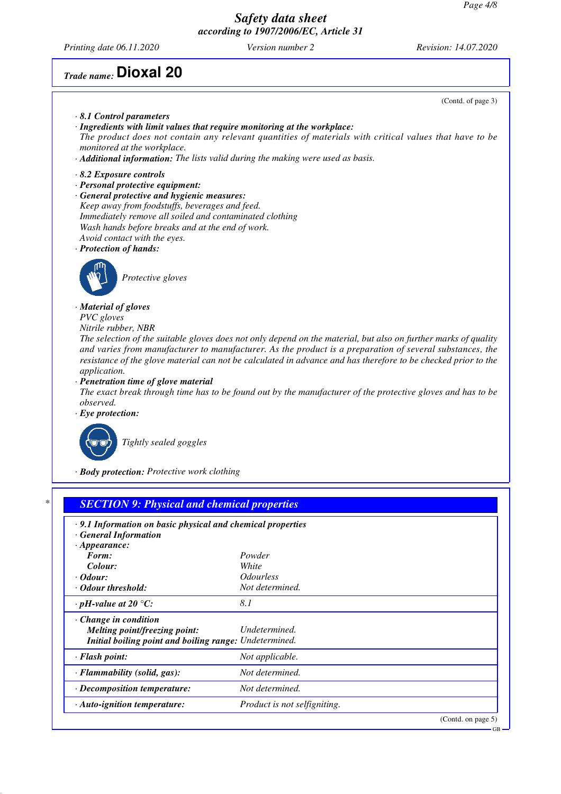*Printing date 06.11.2020 Version number 2 Revision: 14.07.2020*

## *Trade name:* **Dioxal 20**

*· Change in condition*

*Melting point/freezing point: Undetermined. Initial boiling point and boiling range: Undetermined. · Flash point: Not applicable. · Flammability (solid, gas): Not determined. · Decomposition temperature: Not determined.*

*· Auto-ignition temperature: Product is not selfigniting.*

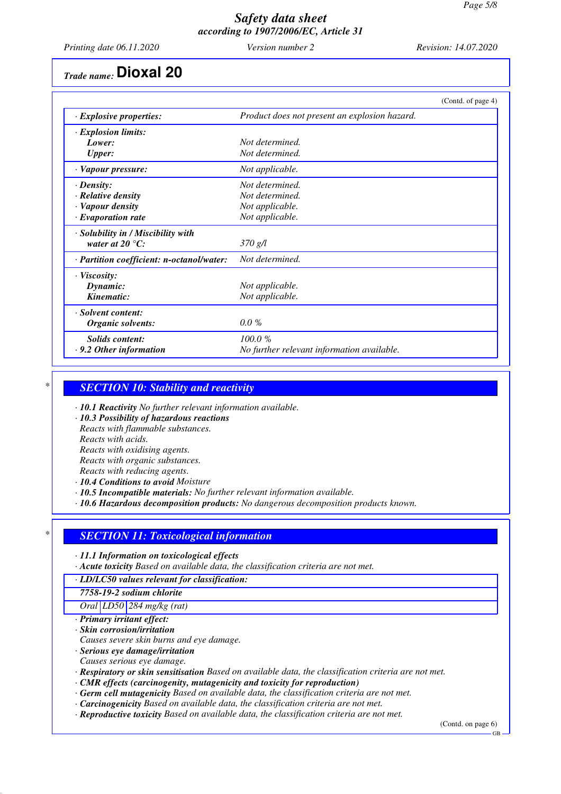*Printing date 06.11.2020 Version number 2 Revision: 14.07.2020*

## *Trade name:* **Dioxal 20**

|                                           | (Contd. of page 4)                            |
|-------------------------------------------|-----------------------------------------------|
| $\cdot$ Explosive properties:             | Product does not present an explosion hazard. |
| $\cdot$ Explosion limits:                 |                                               |
| Lower:                                    | Not determined.                               |
| <b>Upper:</b>                             | Not determined.                               |
| · Vapour pressure:                        | Not applicable.                               |
| $\cdot$ Density:                          | Not determined.                               |
| $\cdot$ Relative density                  | Not determined.                               |
| · Vapour density                          | Not applicable.                               |
| $\cdot$ Evaporation rate                  | Not applicable.                               |
| · Solubility in / Miscibility with        |                                               |
| water at 20 $\mathrm{^{\circ}C:}$         | 370 g/l                                       |
| · Partition coefficient: n-octanol/water: | Not determined.                               |
| $\cdot$ Viscosity:                        |                                               |
| Dynamic:                                  | Not applicable.                               |
| Kinematic:                                | Not applicable.                               |
| · Solvent content:                        |                                               |
| Organic solvents:                         | $0.0\%$                                       |
| <b>Solids content:</b>                    | 100.0%                                        |
| · 9.2 Other information                   | No further relevant information available.    |

#### *\* SECTION 10: Stability and reactivity*

*· 10.1 Reactivity No further relevant information available.*

*· 10.3 Possibility of hazardous reactions*

*Reacts with flammable substances.*

*Reacts with acids.*

*Reacts with oxidising agents.*

*Reacts with organic substances.*

*Reacts with reducing agents.*

*· 10.4 Conditions to avoid Moisture*

*· 10.5 Incompatible materials: No further relevant information available.*

*· 10.6 Hazardous decomposition products: No dangerous decomposition products known.*

## *\* SECTION 11: Toxicological information*

*· 11.1 Information on toxicological effects*

*· Acute toxicity Based on available data, the classification criteria are not met.*

*· LD/LC50 values relevant for classification:*

*7758-19-2 sodium chlorite*

*Oral LD50 284 mg/kg (rat)*

*· Primary irritant effect:*

*· Skin corrosion/irritation*

*Causes severe skin burns and eye damage.*

*· Serious eye damage/irritation*

*Causes serious eye damage.*

*· Respiratory or skin sensitisation Based on available data, the classification criteria are not met.*

*· CMR effects (carcinogenity, mutagenicity and toxicity for reproduction)*

*· Germ cell mutagenicity Based on available data, the classification criteria are not met.*

- *· Carcinogenicity Based on available data, the classification criteria are not met.*
- *· Reproductive toxicity Based on available data, the classification criteria are not met.*

(Contd. on page 6)

GB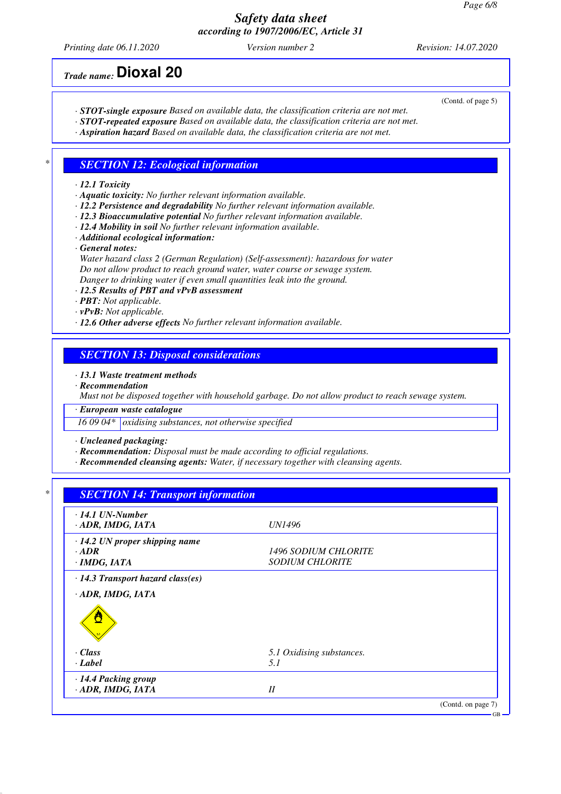*Printing date 06.11.2020 Version number 2 Revision: 14.07.2020*

*Trade name:* **Dioxal 20**

(Contd. of page 5)

- *· STOT-single exposure Based on available data, the classification criteria are not met.*
- *· STOT-repeated exposure Based on available data, the classification criteria are not met.*
- *· Aspiration hazard Based on available data, the classification criteria are not met.*

#### *\* SECTION 12: Ecological information*

#### *· 12.1 Toxicity*

- *· Aquatic toxicity: No further relevant information available.*
- *· 12.2 Persistence and degradability No further relevant information available.*
- *· 12.3 Bioaccumulative potential No further relevant information available.*
- *· 12.4 Mobility in soil No further relevant information available.*
- *· Additional ecological information:*
- *· General notes:*
- *Water hazard class 2 (German Regulation) (Self-assessment): hazardous for water Do not allow product to reach ground water, water course or sewage system. Danger to drinking water if even small quantities leak into the ground.*
- *· 12.5 Results of PBT and vPvB assessment*
- *· PBT: Not applicable.*
- *· vPvB: Not applicable.*
- *· 12.6 Other adverse effects No further relevant information available.*

#### *SECTION 13: Disposal considerations*

#### *· 13.1 Waste treatment methods*

*· Recommendation*

*Must not be disposed together with household garbage. Do not allow product to reach sewage system.*

*· European waste catalogue*

*16 09 04\* oxidising substances, not otherwise specified*

*· Uncleaned packaging:*

- *· Recommendation: Disposal must be made according to official regulations.*
- *· Recommended cleansing agents: Water, if necessary together with cleansing agents.*

## *\* SECTION 14: Transport information*

| $\cdot$ 14.1 UN-Number                    |                             |                    |
|-------------------------------------------|-----------------------------|--------------------|
| · ADR, IMDG, IATA                         | <i>UN1496</i>               |                    |
| $\cdot$ 14.2 UN proper shipping name      |                             |                    |
| $\cdot$ ADR                               | <b>1496 SODIUM CHLORITE</b> |                    |
| ·IMDG, IATA                               | <b>SODIUM CHLORITE</b>      |                    |
| $\cdot$ 14.3 Transport hazard class(es)   |                             |                    |
| · ADR, IMDG, IATA                         |                             |                    |
|                                           |                             |                    |
| $\cdot$ Class                             | 5.1 Oxidising substances.   |                    |
| $\cdot$ Label                             | 5. I                        |                    |
| · 14.4 Packing group<br>· ADR, IMDG, IATA | II                          |                    |
|                                           |                             | (Contd. on page 7) |

GB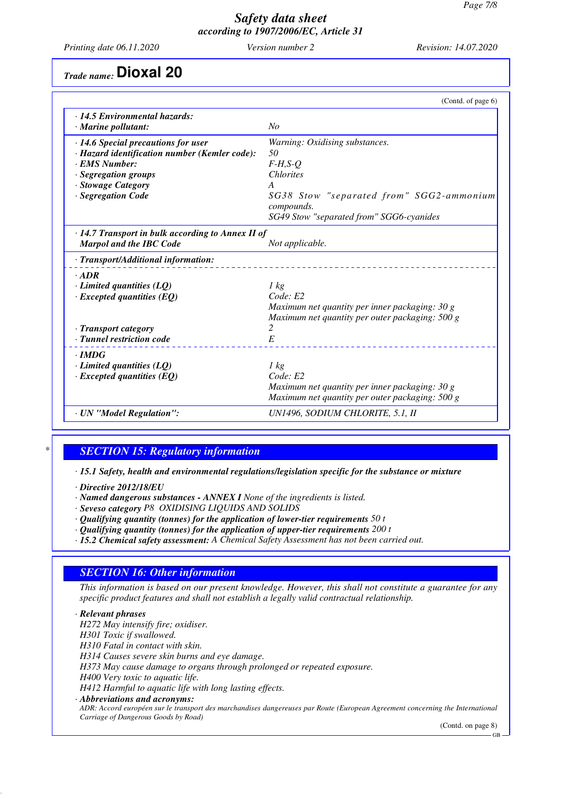*Printing date 06.11.2020 Version number 2 Revision: 14.07.2020*

*Trade name:* **Dioxal 20**

|                                                                  | (Contd. of page 6)                              |
|------------------------------------------------------------------|-------------------------------------------------|
| $\cdot$ 14.5 Environmental hazards:<br>$\cdot$ Marine pollutant: | No                                              |
| · 14.6 Special precautions for user                              | Warning: Oxidising substances.                  |
| · Hazard identification number (Kemler code):                    | 50                                              |
| · EMS Number:                                                    | $F-H, S-Q$                                      |
| · Segregation groups                                             | <b>Chlorites</b>                                |
| · Stowage Category                                               | A                                               |
| · Segregation Code                                               | SG38 Stow "separated from" SGG2-ammonium        |
|                                                                  | compounds.                                      |
|                                                                  | SG49 Stow "separated from" SGG6-cyanides        |
| $\cdot$ 14.7 Transport in bulk according to Annex II of          |                                                 |
| <b>Marpol and the IBC Code</b>                                   | Not applicable.                                 |
| · Transport/Additional information:                              |                                                 |
| $\cdot$ ADR                                                      |                                                 |
| $\cdot$ Limited quantities (LQ)                                  | $1 \text{ kg}$                                  |
| $\cdot$ Excepted quantities (EQ)                                 | Code: E2                                        |
|                                                                  | Maximum net quantity per inner packaging: 30 g  |
|                                                                  | Maximum net quantity per outer packaging: 500 g |
| · Transport category                                             | 2                                               |
| · Tunnel restriction code                                        | E                                               |
| $\cdot$ IMDG                                                     |                                                 |
| $\cdot$ Limited quantities (LQ)                                  | $1 \text{ kg}$                                  |
| $\cdot$ Excepted quantities (EQ)                                 | Code: E2                                        |
|                                                                  | Maximum net quantity per inner packaging: 30 g  |
|                                                                  | Maximum net quantity per outer packaging: 500 g |
| · UN "Model Regulation":                                         | UN1496, SODIUM CHLORITE, 5.1, II                |

## *\* SECTION 15: Regulatory information*

*· 15.1 Safety, health and environmental regulations/legislation specific for the substance or mixture*

*· Directive 2012/18/EU*

*· Named dangerous substances - ANNEX I None of the ingredients is listed.*

- *· Seveso category P8 OXIDISING LIQUIDS AND SOLIDS*
- *· Qualifying quantity (tonnes) for the application of lower-tier requirements 50 t*
- *· Qualifying quantity (tonnes) for the application of upper-tier requirements 200 t*
- *· 15.2 Chemical safety assessment: A Chemical Safety Assessment has not been carried out.*

## *SECTION 16: Other information*

*This information is based on our present knowledge. However, this shall not constitute a guarantee for any specific product features and shall not establish a legally valid contractual relationship.*

*· Relevant phrases H272 May intensify fire; oxidiser. H301 Toxic if swallowed. H310 Fatal in contact with skin. H314 Causes severe skin burns and eye damage. H373 May cause damage to organs through prolonged or repeated exposure. H400 Very toxic to aquatic life. H412 Harmful to aquatic life with long lasting effects. · Abbreviations and acronyms: ADR: Accord européen sur le transport des marchandises dangereuses par Route (European Agreement concerning the International Carriage of Dangerous Goods by Road)*

(Contd. on page 8)

GB